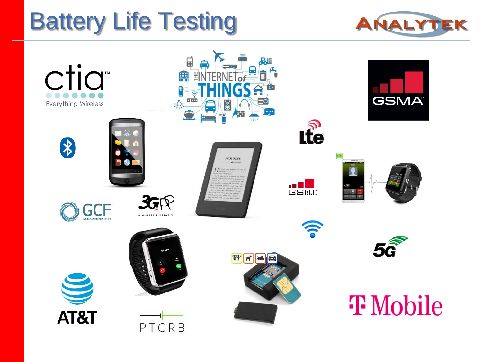# Battery Life Testing



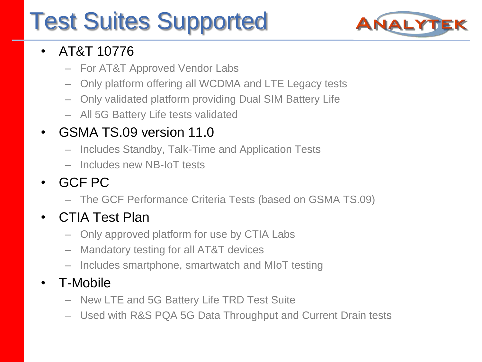# Test Suites Supported



### • AT&T 10776

- For AT&T Approved Vendor Labs
- Only platform offering all WCDMA and LTE Legacy tests
- Only validated platform providing Dual SIM Battery Life
- All 5G Battery Life tests validated

### • GSMA TS.09 version 11.0

- Includes Standby, Talk-Time and Application Tests
- Includes new NB-IoT tests
- GCF PC
	- The GCF Performance Criteria Tests (based on GSMA TS.09)

### • CTIA Test Plan

- Only approved platform for use by CTIA Labs
- Mandatory testing for all AT&T devices
- Includes smartphone, smartwatch and MIoT testing

### • T-Mobile

- New LTE and 5G Battery Life TRD Test Suite
- Used with R&S PQA 5G Data Throughput and Current Drain tests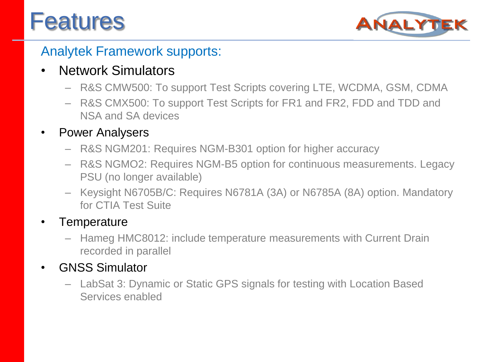# **Features**



### Analytek Framework supports:

### • Network Simulators

- R&S CMW500: To support Test Scripts covering LTE, WCDMA, GSM, CDMA
- R&S CMX500: To support Test Scripts for FR1 and FR2, FDD and TDD and NSA and SA devices

#### • Power Analysers

- R&S NGM201: Requires NGM-B301 option for higher accuracy
- R&S NGMO2: Requires NGM-B5 option for continuous measurements. Legacy PSU (no longer available)
- Keysight N6705B/C: Requires N6781A (3A) or N6785A (8A) option. Mandatory for CTIA Test Suite

#### **Temperature**

– Hameg HMC8012: include temperature measurements with Current Drain recorded in parallel

#### • GNSS Simulator

– LabSat 3: Dynamic or Static GPS signals for testing with Location Based Services enabled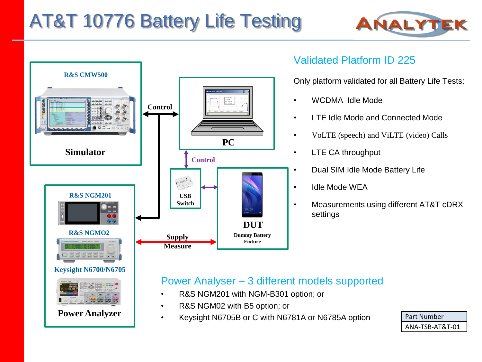## AT&T 10776 Battery Life Testing





#### Validated Platform ID 225

Only platform validated for all Battery Life Tests:

- WCDMA Idle Mode
- LTE Idle Mode and Connected Mode
- VoLTE (speech) and ViLTE (video) Calls
- LTE CA throughput
	- Dual SIM Idle Mode Battery Life
- Idle Mode WEA
	- Measurements using different AT&T cDRX settings

#### Power Analyser – 3 different models supported

- R&S NGM201 with NGM-B301 option; or
- R&S NGM02 with B5 option; or
- Keysight N6705B or C with N6781A or N6785A option

| Part Number     |
|-----------------|
| ANA-TSB-AT&T-01 |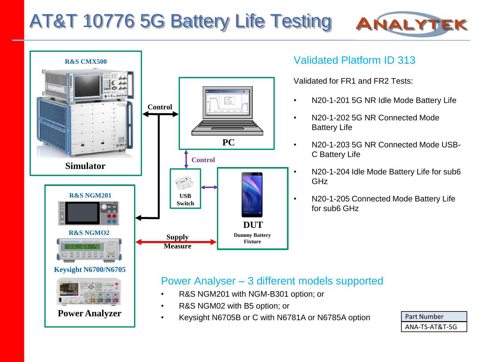## AT&T 10776 5G Battery Life Testing



**Power Analyzer**

#### Validated Platform ID 313

Validated for FR1 and FR2 Tests:

• N20-1-201 5G NR Idle Mode Battery Life

ANALYT

- N20-1-202 5G NR Connected Mode Battery Life
- N20-1-203 5G NR Connected Mode USB-C Battery Life
- N20-1-204 Idle Mode Battery Life for sub6 GHz
- N20-1-205 Connected Mode Battery Life for sub6 GHz

#### Power Analyser – 3 different models supported

- R&S NGM201 with NGM-B301 option; or
- R&S NGM02 with B5 option; or
- Keysight N6705B or C with N6781A or N6785A option | Part Number

ANA-TS-AT&T-5G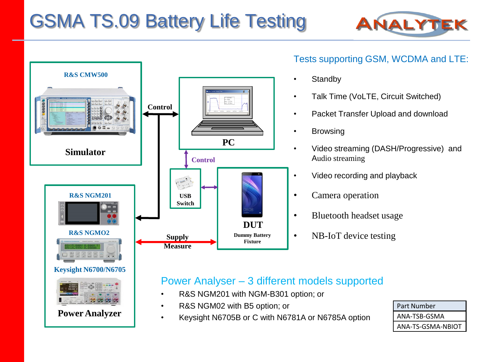## GSMA TS.09 Battery Life Testing



Tests supporting GSM, WCDMA and LTE:

• Talk Time (VoLTE, Circuit Switched)

• Packet Transfer Upload and download

• Video streaming (DASH/Progressive) and



**Standby** 

**Browsing** 

Audio streaming

• Camera operation

• Video recording and playback

• Bluetooth headset usage

• NB-IoT device testing

#### Power Analyser – 3 different models supported

- R&S NGM201 with NGM-B301 option; or
- R&S NGM02 with B5 option; or
- Keysight N6705B or C with N6781A or N6785A option

| Part Number       |
|-------------------|
| ANA-TSB-GSMA      |
| ANA-TS-GSMA-NBIOT |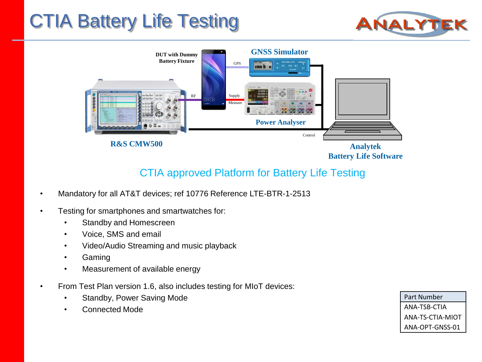## CTIA Battery Life Testing





#### CTIA approved Platform for Battery Life Testing

- Mandatory for all AT&T devices; ref 10776 Reference LTE-BTR-1-2513
- Testing for smartphones and smartwatches for:
	- Standby and Homescreen
	- Voice, SMS and email
	- Video/Audio Streaming and music playback
	- Gaming
	- Measurement of available energy
- From Test Plan version 1.6, also includes testing for MIoT devices:
	- Standby, Power Saving Mode
	- Connected Mode

Part Number ANA-TSB-CTIA ANA-TS-CTIA-MIOT ANA-OPT-GNSS-01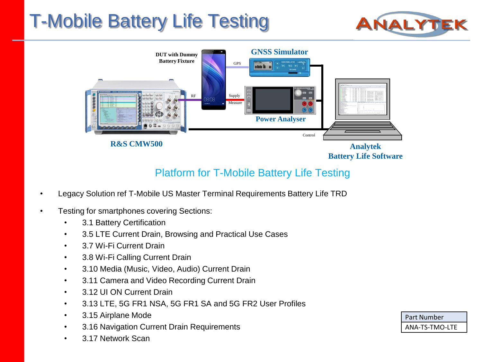## T-Mobile Battery Life Testing





#### Platform for T-Mobile Battery Life Testing

- Legacy Solution ref T-Mobile US Master Terminal Requirements Battery Life TRD
- Testing for smartphones covering Sections:
	- 3.1 Battery Certification
	- 3.5 LTE Current Drain, Browsing and Practical Use Cases
	- 3.7 Wi-Fi Current Drain
	- 3.8 Wi-Fi Calling Current Drain
	- 3.10 Media (Music, Video, Audio) Current Drain
	- 3.11 Camera and Video Recording Current Drain
	- 3.12 UI ON Current Drain
	- 3.13 LTE, 5G FR1 NSA, 5G FR1 SA and 5G FR2 User Profiles
	- 3.15 Airplane Mode
	- 3.16 Navigation Current Drain Requirements
	- 3.17 Network Scan

| Part Number    |  |
|----------------|--|
| ANA-TS-TMO-LTE |  |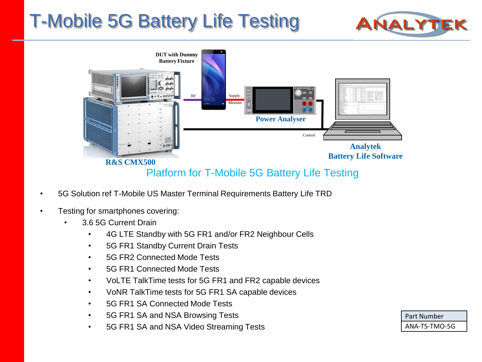## T-Mobile 5G Battery Life Testing





#### Platform for T-Mobile 5G Battery Life Testing

- 5G Solution ref T-Mobile US Master Terminal Requirements Battery Life TRD
- Testing for smartphones covering:
	- 3.6 5G Current Drain
		- 4G LTE Standby with 5G FR1 and/or FR2 Neighbour Cells
		- 5G FR1 Standby Current Drain Tests
		- 5G FR2 Connected Mode Tests
		- 5G FR1 Connected Mode Tests
		- VoLTE TalkTime tests for 5G FR1 and FR2 capable devices
		- VoNR TalkTime tests for 5G FR1 SA capable devices
		- 5G FR1 SA Connected Mode Tests
		- 5G FR1 SA and NSA Browsing Tests
		- 5G FR1 SA and NSA Video Streaming Tests

| Part Number   |  |
|---------------|--|
| ANA-TS-TMO-5G |  |